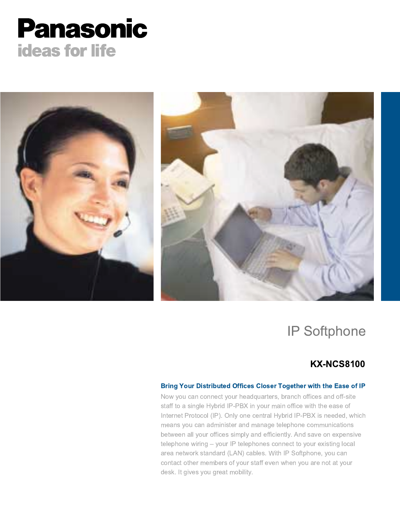# **Panasonic ideas for life**



## IP Softphone

### KX-NCS8100

### Bring Your Distributed Offices Closer Together with the Ease of IP

Now you can connect your headquarters, branch offices and off-site staff to a single Hybrid IP-PBX in your main office with the ease of Internet Protocol (IP). Only one central Hybrid IP-PBX is needed, which means you can administer and manage telephone communications between all your offices simply and efficiently. And save on expensive telephone wiring - your IP telephones connect to your existing local area network standard (LAN) cables. With IP Softphone, you can contact other members of your staff even when you are not at your desk. It gives you great mobility.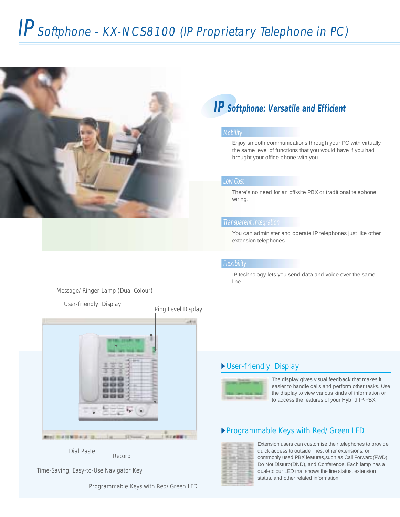# IP Softphone - KX-NCS8100 (IP Proprietary Telephone in PC)



## **IP Softphone: Versatile and Efficient**

### **Mobility**

Enjoy smooth communications through your PC with virtually the same level of functions that you would have if you had brought your office phone with you.

### Low Cost

There's no need for an off-site PBX or traditional telephone wiring.

### Transparent Integration

You can administer and operate IP telephones just like other extension telephones.

### **Flexibility**

IP technology lets you send data and voice over the same line.

### User-friendly Display



The display gives visual feedback that makes it easier to handle calls and perform other tasks. Use the display to view various kinds of information or to access the features of your Hybrid IP-PBX.

### Programmable Keys with Red/Green LED



Extension users can customise their telephones to provide quick access to outside lines, other extensions, or commonly used PBX features,such as Call Forward(FWD), Do Not Disturb(DND), and Conference. Each lamp has a dual-colour LED that shows the line status, extension status, and other related information.

### Message/Ringer Lamp (Dual Colour)



Time-Saving, Easy-to-Use Navigator Key

Programmable Keys with Red/Green LED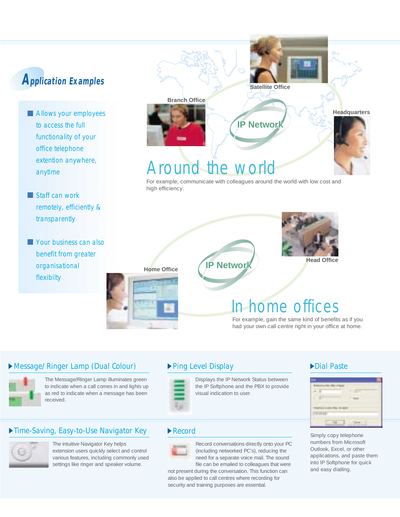- **Allows your employees** to access the full functionality of your office telephone extention anywhere, anytime
- Staff can work remotely, efficiently & transparently
- **Your business can also** benefit from greater organisational flexibilty



For example, communicate with colleagues around the world with low cost and high efficiency.





**Home Office Allen IP Network** 

## home offices

For example, gain the same kind of benefits as if you had your own call centre right in your office at home.

### Message/Ringer Lamp (Dual Colour)



The Message/Ringer Lamp illuminates green to indicate when a call comes in and lights up as red to indicate when a message has been received.

### Time-Saving, Easy-to-Use Navigator Key



The intuitive Navigator Key helps extension users quickly select and control various features, including commonly used settings like ringer and speaker volume.

### ▶ Ping Level Display



Displays the IP Network Status between the IP Softphone and the PBX to provide visual indication to user.

### Record



Record conversations directly onto your PC (including networked PC's), reducing the need for a separate voice mail. The sound file can be emailed to colleagues that were

not present during the conversation. This function can also be applied to call centres where recording for security and training purposes are essential.

### Dial Paste



**Headquarters**

0A<sub>C</sub>

Simply copy telephone numbers from Microsoft Outlook, Excel, or other applications, and paste them into IP Softphone for quick and easy dialling.